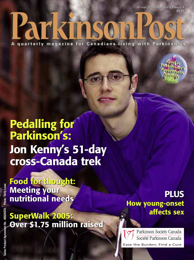Winter 2005 **-** Volume 5 **-** Issue 4 Winter 2005 **-** Volume 5 **-** Issue 4 \$4.50 \$4.50

Parkinso

quarterly magazine for Canadians living with Parkinson's



**Food for thought: Food for thought: Meeting your Meeting your nutritional needs nutritional needs**

**SuperWalk 2005: Over \$1.75 million raised SuperWalk 2005: Over \$1.75 million raised**

**PLUS PLUS How young-onset How young-onset affects sex affects sex**

Parkinson Society Canada Société Parkinson Canada Ease the Burden; Find a Cure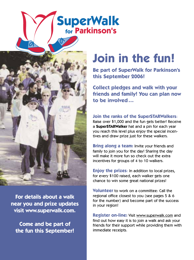# **SuperWalk**<br>for Parkinson's



**For details about a walk near you and prize updates visit www.superwalk.com.**

**Come and be part of the fun this September!**

# **Join in the fun!**

**Be part of SuperWalk for Parkinson's this September 2006!**

**Collect pledges and walk with your friends and family! You can plan now to be involved…**

**Join the ranks of the SuperSTARWalkers**: Raise over \$1,000 and the fun gets better! Receive a **SuperSTARWalker** hat and a pin for each year you reach this level plus enjoy the special incentives and draw prize just for these walkers.

**Bring along a team:** Invite your friends and family to join you for the day! Sharing the day will make it more fun so check out the extra incentives for groups of 4 to 10 walkers.

**Enjoy the prizes**: In addition to local prizes, for every \$100 raised, each walker gets one chance to win some great national prizes!

**Volunteer** to work on a committee: Call the regional office closest to you (see pages 5 & 6 for the number) and become part of the success in your region!

**Register on-line:** Visit www.superwalk.com and find out how easy it is to join a walk and ask your friends for their support while providing them with immediate receipts.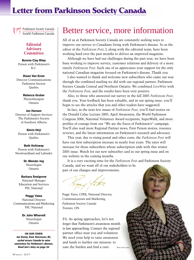# **Letter from Parkinson Society Canada**

Parkinson Society Canada Société Parkinson Canada

#### **Editorial Advisory Committee**

**Bonnie Clay Riley** Person with Parkinson's B.C.

**Diane Van Erum** Director Communications Parkinson Society Quebec

> **Rebecca Gruber** Physiotherapist Ontario

**Jan Hansen** Director of Support Services The Parkinson's Society of Southern Alberta

**Shirin Hirji** Person with Parkinson's Quebec

**Beth Holloway** Person with Parkinson's Newfoundland and Labrador

> **Dr. Mandar Jog** Neurologist Ontario

#### **Barbara Snelgrove** National Manager Education and Services PSC National

**Peggy Yates** National Director Communications and Marketing PSC National

> **Dr. John Wherrett** Neurologist Ontario

*ON OUR COVER: Jon Kenny, from Vancouver, BC, cycled across Canada to raise awareness for Parkinson's disease. Read Jon's story on page 20.*

All of us at Parkinson Society Canada are constantly seeking ways to improve our service to Canadians living with Parkinson's disease. So as the editor of the *Parkinson Post*, I, along with the editorial team, have been working hard over the past months to deliver an improved magazine.

Although we have had our challenges during the past year, we have been busy working to improve service, customer relations and delivery of a more timely *Parkinson Post*. Each one of us appreciates your support for the only national Canadian magazine focused on Parkinson's disease. Thank you.

I also wanted to thank and welcome new subscribers who came our way through the combined mailing we did with our regional partner, Parkinson Society Canada Central and Northern Ontario. We combined *LiveWire* with the *Parkinson Post*, and the results have been very positive.

Also, to those who answered our survey in the fall 2005 *Parkinson Post*, thank you. Your feedback has been valuable, and in our spring issue, you'll begin to see the articles that you and other readers have suggested.

In fact, in the next few issues of *Parkinson Post*, you'll find stories on the Donald Calne Lecture 2005, April Awareness, the World Parkinson Congress 2006, National Volunteer Award recipients, SuperWalk, and more profiles of courage from our "We are the Faces of Parkinson's" campaign. You'll also read more Regional Partner news, First Person stories, resource reviews, and the latest information on Parkinson's research and advocacy.

This year, due to rising postal and other costs, the *Parkinson Post* will have our first subscription increase in nearly four years. The rates will increase for those subscribers whose subscription ends with this winter 2005 issue. Watch for our new subscriber card in our spring issue and on our website in the coming months.

It is a very exciting time for the *Parkinson Post* and Parkinson Society Canada, and we want all of our stakeholders to be part of our changes and improvements.

Peggy Yates, CFRE, National Director, Communications and Marketing, Parkinson Society Canada Toronto, ON

P.S. As spring approaches, let's not forget that Parkinson's awareness month is fast approaching. Contact the regional partner office near you and volunteer. We need your help to raise awareness and funds to further our mission: to ease the burden and find a cure.

Photo: Terry Lowe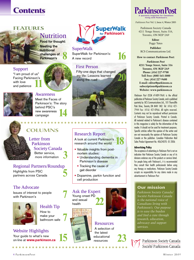# **Contents**

#### **FEATURES**

Nutrition

**Food for thought: Meeting the nutritional challenges of Parkinson's 8**

## Support

"I am proud of us" Facing Parkinson's with love and patience



#### Awareness Meet the Faces of

Parkinson's: The story behind PSC's new awareness campaign **14**

## **COLUMNS**

Letter from Parkinson Society Canada Better service, more information **3**

#### Regional Partners/Roundup

Highlights from PSC partners across Canada **5**

#### The Advocate

Issues of interest to people with Parkinson's **7**



#### Health Tip How to make your bathroom safe **7**

#### Website Highlights

Your guide to what's new on-line at **www.parkinson.ca 15**



SuperWalk SuperWalk for Parkinson's: A new record **16**

#### First Person

Fifty-one days that changed my life: Lessons learned along the road **20**

#### Research Report

 $\bullet$  $\bullet$  $\bullet$  $\bullet$  $\bullet$  $\bullet$ 

A look at current Parkinson's research around the world **18**

- Valuable insights from postmortem studies:
	- Understanding dementia in Parkinson's disease
	- Tracking the cause of gait disorder
- Dopamine, parkin function and cell production

Ask the Expert Young onset PD and sexual health **22**



**Resources** A selection of the latest educational resources **23**



*Parkinson Post* Vol. 5, Issue 4, Winter 2005

Parkinson Society Canada 4211 Yonge Street, Suite 316, Toronto, ON M2P 2A9

> **Editor**: Peggy Yates

**Publisher**: BCS Communications Ltd.

**How to contact** *Parkinson Post***:**

*Parkinson Post* **4211 Yonge Street, Suite 316 Toronto, ON M2P 2A9 Phone: (416) 227-9700 Toll Free: (800) 565-3000 Fax: (416) 227-9600 E-mail: editor@parkinson.ca subscriptions@parkinson.ca Website: www.parkinson.ca**

*Parkinson Post* (ISSN #1489-1964) is the official publication of Parkinson Society Canada, and is published quarterly by BCS Communications Ltd., 101 Thorncliffe Park Drive, Toronto, ON M4H 1M2. Tel: (416) 421- 7944 Fax: (416) 421-0966. All rights reserved. Contents may not be reproduced without permission of Parkinson Society Canada. Printed in Canada. All material related to Parkinson's disease contained in this magazine is solely for the information of the reader. It should not be used for treatment purposes. Specific articles reflect the opinion of the writer and are not necessarily the opinion of Parkinson Society Canada or the publisher. Canadian Publication Mail Sales Product Agreement No. 40624078. © 2006

#### **Advertising Policy**

The acceptance of advertising in *Parkinson Post* is not an indication that Parkinson Society Canada or any of its divisions endorses any of the products or services listed. For people living with Parkinson's, it is recommended they consult their health professionals before using any therapy or medications. Parkinson Society Canada accepts no responsibility for any claims made in any advertisement in *Parkinson Post*.

#### **Our mission**

*Parkinson Society Canada/ Société Parkinson Canada is the national voice of Canadians living with Parkinson's. Our purpose is to ease the burden and find a cure through research, education, advocacy and support services.*

Parkinson Society Canada Société Parkinson Canada

. . . . . .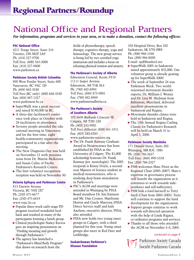# National Office and Regional Partners

*For information, programs and services in your area, or to make a donation, contact the following offices:*

#### **PSC National Office**

4211 Yonge Street, Suite 316 Toronto, ON M2P 2A9 Ph: (416) 227-9700 Toll Free: (800) 565-3000 Fax: (416) 227-9600 www.parkinson.ca

#### **Parkinson Society British Columbia**

890 West Pender Street, Suite 600 Vancouver, BC V6C 1J9 Ph: (604) 662-3240 Toll Free (BC only): (800) 668-3330 Fax: (604) 687-1327 www.parkinson.bc.ca

- SuperWalk was a great success and raised \$140,000 in BC.
- A three-day facilitator's conference took place in October with 28 facilitators in attendance.
- Seventy people attended the educational meeting in Vancouver, and for the first time, eight health-community organizations participated in a fair after the meeting.
- The New Diagnosis Day was held on November 12 with presentations from Dr. Martin McKeown and Susan Calne of Pacific Parkinson's Research Centre.
- The first volunteer recognition reception was held on November 30.

#### **Victoria Epilepsy and Parkinson Centre**

813 Darwin Avenue Victoria, BC V8X 2X7 Ph: (250) 475-6677 Fax: (250) 475-6619 www.vepc.bc.ca

- Popular three-week early-stage PD program received wonderful feedback and resulted in many of the participants forming a lunch group.
- Clinical psychologist Nancy Reeves gave an inspiring presentation on "Finding meaning and growth through Parkinson's."
- The agency has launched a "Parkinson's Mind Body Program" that draws on research from the

fields of physiotherapy, speech therapy, cognitive therapy, yoga and kinesiology. The new group service is being led by two certified yoga instructors and includes a focus on releasing physical tension and anxiety.

#### **The Parkinson's Society of Alberta**

Edmonton General, Room 3Y18 11111 Jasper Avenue Edmonton, AB T5K 0L4 Ph: (780) 482-8993 Toll Free: (888) 873-9801 Fax: (780) 482-8969 www.parkinsonalberta.ca

#### **The Parkinson's Society of Southern Alberta**

102-5636 Burbank Crescent SE Calgary, AB T2H 1Z6 Ph: (403) 243-9901 Toll Free (Alberta): (800) 561-1911 Fax: (403) 243-8283 www.parkinsons-society.org

- The Dr. Frank Ramsay Graduate Award in Neuroscience has been established by PSSA at the University of Calgary. The \$1,000 scholarship honours Dr. Frank Ramsay (ret. neurologist). The 2005 recipient is Krissy Doyle, a secondyear Masters of Science student in medical neurosciences, who is studying deep brain stimulation in Parkinson's.
- **PSC's AGM and meetings were** attended in Winnipeg by PSSA Board members Dr. Jim Emmett and Mr. Dan Cooney. Marilynne Herron and Gisele Marcoux (PSSA Direct Service staff) and Judy Axelson, executive director, PSSA, also attended.
- **PSSA now holds two young onset** groups in Calgary, with a third planned for this year. Young onset groups also meet in Red Deer and Lethbridge.

**Saskatchewan Parkinson's Disease Foundation**

103 Hospital Drive, Box 102 Saskatoon, SK S7N 0W8 Ph: (306) 966-1348 Fax: (306) 966-8030 E-mail: spdf@sasktel.net

- SuperWalk 2005 in Saskatoon raised approximately \$52,000. Our volunteer group is already gearingup for SuperWalk 2006!
- The week of September 26 was Parkinson Week. Two worldrenowned movement disorder experts, Dr. William J. Weiner and Dr. Lisa M. Shulman from Baltimore, Maryland, delivered excellent presentations in Saskatoon and Regina.
- Movement disorder clinics were held in Saskatoon and Regina.
- $\blacktriangleright$  The 13th Annual Regina Curling Classic for Parkinson's Research will be held on March 31 to April 1, 2006.

#### **Parkinson Society Manitoba**

171 Donald Street, Suite 302 Winnipeg, MB R3C 1M4 Ph: (204) 786-2637 Toll-Free: (866) 999-5558 Fax: (204) 786-2327

- ▶ PSM welcomes Marc Pittet as the Regional Chair (2005–2007). Marc's expertise in governance process will benefit the organization as it continues to work towards independence and self-sufficiency.
- PSM bids a fond farewell to Terry Snell (Chair from 2003–2005). Terry will continue to support the fund development for the organization.
- Support groups continue to work towards self-directed operation with the help of Linda Rigaux, co-ordinator programs and services.
- Thanks to all those who attended the AGM on November 3–6, 2005.

#### *continued on page 6*

Parkinson Society Canada Société Parkinson Canada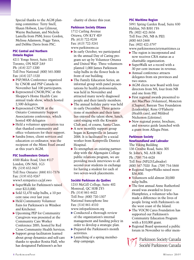Special thanks to the AGM planning committee: Terry Snell, Shaun Hobson, Lisa Gilmour, Wayne Buchanan, and Nichola Lastella from PSM; Joyce Gordon, Melissa Adamson, Peggy Yates, and Debbie Davis from PSC.

#### **PSC Central and Northern Ontario Region**

4211 Yonge Street, Suite 321 Toronto, ON M2P 2A9 Ph: (416) 227-1200 Toll Free National: (800) 565-3000 Fax: (416) 227-1520

- PSP/MSA Conference organized by CNOR and PSP Canada in November had 100 participants.
- Represented CNOR/PSC at the Shopper's Home Health Care annual trade show, which hosted 2,500 delegates.
- Represented CNOR at the Ontario Community Support Associations conference, which hosted 400 delegates
- Held a volunteer appreciation tea that thanked community and office volunteers for their support.
- Sandra Jones, client services and education co-ordinator, was the recipient of the Mimi Feutl award at this year's AGM.

#### **PSC Southwestern Ontario**

4500 Blakie Road, Unit #117 London, ON N6L 1G5 Ph: (519) 652-9437 Toll Free Ontario: (888) 851-7376 Fax: (519) 652-9267 www3.sympatico.ca/pf.swo

 SuperWalk for Parkinson's raised over \$213,000.

- $\blacktriangleright$  Sold 52,470 tulip bulbs, a 10 per cent raise over last year.
- Held Community Volunteer Fairs for Parkinson's in Windsor and Kitchener.
- Upcoming PEP for Community Caregivers was presented at the Community Care Worker Conference 2005, hosted by Red Cross Community Health Services.
- Support group facilitators learned about group dynamics and self-care thanks to speaker Rosita Hall, who has designated Parkinson's as her

charity of choice this year.

#### **Parkinson Society Ottawa**

1712 Carling Avenue Ottawa, ON K1Y 4E9 Ph: (613) 722-9238 Fax: (613) 722-3241 www.parkinsons.ca

- In early October, we participated in the annual Day of Caring program set up by Volunteer Ottawa and United Way. Three volunteers planted 1,000 James Parkinson tulip bulbs in the flower beds in front of our building.
- The Family Education Series, an informal group with panel presentations by health professionals, was held in November and attracted many newly diagnosed people and their family members.
- The annual holiday party was held in early December. Three generations of members and their families enjoyed the talent show, lunch, carol-singing with the Kiwanis Club and, of course, Santa Claus.
- A new monthly support group began in Kemptville in January 2006. It is facilitated by a social worker from Kemptville District Hospital.
- $\blacktriangleright$  To strengthen an existing partnership with the Algonquin College public relations program, we are providing mock interviews to all second-year students in exchange for having a student for each of two seven-week placements.

#### **Société Parkinson du Québec**

1253 McGill College, Suite 402 Montreal, QC H3B 2Y5 Ph: (514) 861-4422 Toll Free: (800) 720-1307 National francophone line Fax: (514) 861-4510 www.infoparkinson.org

- Conducted a thorough review of the organization's internal management and funding policy in order to develop a strategic plan.
- Prepared the Parkinson's month activities.
- Launching of a spring membership campaign.

#### **PSC Maritime Region**

5991 Spring Garden Road, Suite 830 Halifax, NS B3H 1Y6 Ph: (902) 422-3656 Toll Free (NS, NB & PEI): (800) 663-2468 Fax: (902) 422-3797 www.parkinsonsocietymaritimes.ca

- The region is incorporated and now receives CRA status as a charitable organization.
- SuperWalk set a record with a 30 per cent increase in revenue.
- Annual conference attracts delegates from six provinces and two states.
- AGM elects new Board with four directors from NS, four from NB and one from PEI.
- **First regional awards presented to** Art MacPhee (Volunteer), Moncton (Chapter), Banyan Tree Foundation (Leadership), Rene O'Flaherty (Health care), and Mildred Nickerson (Lifetime).
- New regional poster, brochure, and resource guide launched with a grant from Allegra Print.

#### **Parkinson Society Newfoundland and Labrador**

#### The Viking Building

136 Crosbie Road, Suite 305 St. John's, NL A1B 3K3 Ph: (709) 754-4428 Toll Free (NFLD/Labrador):

- (800) 567-7020 Fax: (709) 754-5868
- Regional SuperWalks raised more \$36,800.
- Volunteers sold almost 20,000 tulip bulbs.
- The first annual Anne Rutherford award was awarded to Joyce Humphries, a volunteer who has made a difference in the lives of people living with Parkinson's on the west coast of the Island.
- The VOCM Cares Foundation has supported our Parkinson's Community Education Program with a \$10,000 grant.
- Regional Board sponsored a public forum in November to offer mem-

Parkinson Society Canada Société Parkinson Canada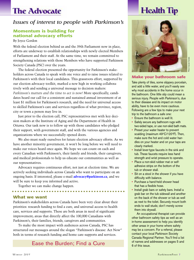# **The Advocate**

#### *Issues of interest to people with Parkinson's*

#### **Momentum is building for national advocacy efforts**

#### By Joyce Gordon

With the federal election behind us and the 39th Parliament now in place, efforts are underway to establish relationships with newly elected Members of Parliament and their staff. At the same time, we remain committed to strengthening relations with those Members who have supported Parkinson Society Canada (PSC) over the years.

The federal election presented the opportunity for Parkinson's stakeholders across Canada to speak with one voice and to raise issues related to Parkinson's with their local candidates. This grassroots effort, supported by our election advocacy toolkit, marked a new high in working collaboratively with and sending a universal message to decision makers: *Parkinson's matters and the time to act is now!* More specifically, candi-

dates heard our call for a consistent and sustained annual investment of at least \$1 million for Parkinson's research, and the need for universal access to skilled Parkinson's care and services regardless of what province, region, city or town a person may live in.

Just prior to the election call, PSC representatives met with key decision makers at the Institute of Aging and the Department of Health in Ottawa. Our task now is to follow up with those candidates who pledged their support, with government staff, and with the various agencies and organizations where we successfully opened doors.

We also must ready ourselves for future election advocacy efforts. As we have another minority government, it won't be long before we will need to make our voices heard once again. We hope we can count on each and every Canadian with Parkinson's, their family and friends, their caregivers, and medical professionals to help us educate our communities as well as our representatives.

Advocacy requires continuous effort, not just at election time. We are actively seeking individuals across Canada who want to participate on an ongoing basis. If interested, please e-mail **advocacy@parkinson.ca**, and we will be sure to keep you informed and active.

Together we can make change happen.

#### **What we want**

Parkinson's stakeholders across Canada have been very clear about their priorities: research funding to find a cure, and universal access to health care, services and supports. These are both areas in need of significant improvement; areas that directly affect the 100,000 Canadians with Parkinson's, their families, friends, caregivers and communities.

To make the most impact with audiences across Canada, PSC has structured our messages around the slogan "Parkinson's disease: Act Now" both in terms of research funding and home care supports and services.

Ease the Burden; Find a Cure  $\frac{60 \text{ frames and } 60 \text{ times}}{6 \text{ of this issue}}$ 

# **Health Tip**



#### **Make your bathroom safe**

Take plenty of tiles, some slippery porcelain, and add a little water, and you'll easily see why most accidents in the home occur in the bathroom. One little slip could mean a serious injury. People with Parkinson's, due to their disease and its impact on motor ability, have to be even more cautious. Following are a few tips to make your next trip to the bathroom a safe one:

- Ensure the bathroom is well lit.
- Safely secure any bathroom rugs with two-sided tape, or use non-skid bath mats.
- Preset your water heater to prevent scalding (maximum  $49^{\circ}$ C/120 $^{\circ}$ F). Then, make sure the hot and cold water handles on your heater and on your taps are clearly marked.
- Install lever-type faucets in the sink and tub. These faucets require less hand strength and wrist pressure to operate.
- Place a non-skid rubber mat or selfadhesive strips on the bottom of the tub or shower stall.
- Sit on a stool in the shower if you have difficulty with balance.
- Purchase a hand-held shower head that has a flexible hose.
- Install grab bars or safety bars. Install a grab bar on the tub sidewall and another on the back of the shower or tub as well as next to the toilet. Securely mount both ends to wall studs; don't merely screw them into drywall.

An occupational therapist can provide other bathroom safety tips as well as an in-home assessment to help you identify other areas in your home where safety may be a concern. For a referral, please contact your local Parkinson Society Canada Regional Partner. You'll find a list of names and addresses on pages 5 and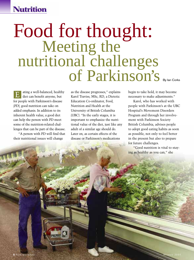# **Nutrition**

# Food for thought:<br>
Meeting the<br>
nutritional challenges<br>
of Parkinson's

ating a well-balanced, healthy diet can benefit anyone, but for people with Parkinson's disease (PD), good nutrition can take on added emphasis. In addition to its inherent health value, a good diet

REMILE

can help the person with PD meet some of the nutrition-related challenges that can be part of the disease.

E

"A person with PD will find that their nutritional issues will change

as the disease progresses," explains Karol Traviss, MSc, RD, a Dietetic Education Co-ordinator, Food, Nutrition and Health at the University of British Columbia (UBC). "In the early stages, it is important to emphasize the nutritional value of the diet, just like any adult of a similar age should do. Later on, as certain effects of the disease or Parkinson's medications

As (B)

begin to take hold, it may become necessary to make adjustments."

Karol, who has worked with people with Parkinson's at the UBC Hospital's Movement Disorders Program and through her involvement with Parkinson Society British Columbia, advises people to adopt good eating habits as soon as possible, not only to feel better in the present but also to prepare for future challenges.

"Good nutrition is vital to staying as healthy as you can," she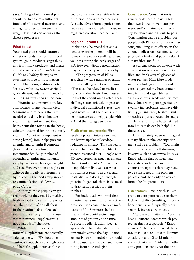says. "The goal of any meal plan should be to ensure a sufficient intake of all essential nutrients and enough calories to prevent the weight loss that can occur as the disease progresses."

#### **What to eat**

Your meal plan should feature a variety of foods from all four food groups: grain products, vegetables and fruit, milk products, and meats and alternatives. *Canada's Food Guide to Healthy Eating* is an excellent source of information on healthy eating. (Editor's note: Visit www.hc-sc.gc.ca/fn-an/foodguide-aliment/index\_e.html and click on the *Canada's Food Guide* icon.)

Vitamins and minerals are key components of any healthy diet. Vitamins and minerals that are needed on a daily basis include vitamin E (an antioxidant that helps neutralize toxins in the body), calcium (essential for strong bones), vitamin D (another component of strong bones), iron (helps prevent anemia) and vitamin B complex (beneficial to brain function). Recommended daily intakes of essential vitamins and minerals vary by factors such as age, weight and sex. However, most people can achieve their daily requirements by following the food group intake recommendations of *Canada's Food Guide*.

Although most people can get the nutrients they need by making healthy food choices, Karol points out that people often fall short in their eating habits. "As such, taking a once-daily multipurpose vitamin mineral supplement is not a bad idea," she notes.

While multipurpose vitamin mineral supplements are generally safe, people with PD should be cautious about the use of high doses and herbal supplements as these

could cause unwanted side effects or interactions with medications. As such, advice from a professional such as a physician, pharmacist, or registered dietitian, can be useful.

#### **Keeping up with PD**

Sticking to a balanced diet and a regular exercise program will help to maximize your overall health and wellness during the early stages of PD. However, dietary modification may be necessary as time goes by.

"The progression of PD is associated with a number of eatingrelated challenges," Karol explains. "These can be related to medications or to the physical manifestations of the condition." Each of these challenges can seriously impact an individual's nutritional status. The good news is that there are a number of strategies to help people with PD and their caregivers cope.

**Medications and protein:** High levels of protein intake can affect the brain's uptake of levodopa, reducing its efficacy. This has led to some debate over the benefits of a protein-restricted diet. "People with PD need protein as much as anyone else," Karol remarks. "In fact, too many older individuals eat what nutritionists refer to as a 'tea and toast' diet, and don't get enough protein. In general, there is no need to drastically restrict protein intakes."

For individuals who find that protein affects medication effectiveness, solutions can be to take medications 30–45 minutes before meals and to avoid eating large amounts of protein at one time. A protein redistribution diet—a special diet that redistributes protein intake across the day—is not generally recommended and should only be used with advice and monitoring from a neurologist.

**Constipation:** Constipation is generally defined as having less than two bowel movements per week and/or having stool that is dry, hardened and difficult to pass. Constipation can be a problem for people with PD for a number of reasons, including PD's effects on the colon, medication side effects, low physical activity and poor intake of dietary fibre and fluid.

A starting point for anyone with constipation is to eat more dietary fibre and drink several glasses of water per day. High fibre foods include whole grain breads and cereals (particularly bran-containing), fruits and vegetables with skins, and nuts, seeds and legumes. Individuals with poor appetites or swallowing problems can have difficulty getting enough fibre. Fruit smoothies, pureed vegetable soups and fruitlax or prune butter stirred into hot cereals can be helpful in these cases.

Unfortunately, even with a good dietary fibre intake, constipation may still be a problem. "You might need to use a mild bulk-forming laxative such as Metamucil® " says Karol, adding that stronger laxatives, stool softeners, and even enemas are options that may need to be considered if the problem persists, and then only on advice from a health professional.

**Osteoporosis:** People with PD are prone to osteoporosis due to their lack of mobility (resulting in loss of bone density) and typically older age (risk increases with age).

"Calcium and vitamin D are the best nutritional factors which protect against osteoporosis," Karol advises. "The recommended daily intake is 1,000 to 1,500 milligrams of calcium and 10 to 15 micrograms of vitamin D. Milk and other dairy products are by far the best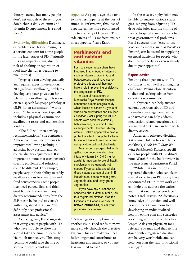dietary source, but many people don't get enough of these. If you don't, then a daily calcium and vitamin D supplement is a good idea."

**Swallowing difficulties:** Dysphagia, or problems with swallowing, is a serious concern for some people in the later stages of PD. Naturally, this can impact eating, due to the risk of choking or aspiration of food into the lungs (leading to pneumonia).

Dysphagia can develop gradually and requires expert intervention. "If significant swallowing problems develop, ask your physician for a referral to a swallowing professional, often a speech language pathologist (SLP), for an assessment," warns Karol. "The assessment typically includes a physical examination, swallowing tests, and radiographic studies.

"The SLP will then develop recommendations," she continues. "These could include exercises to improve swallowing technique, adjusting body position and, of course, dietary adjustments. It is important to note that each person's specific problems and solutions could be different. For example, people vary in their ability to safely swallow various food textures and fluid consistencies. Some people may need pureed diets and thickened liquids. If there are many dietary recommendations from the SLP, it can be helpful to consult with a registered dietitian. You definitely need professional assessment and advice."

As a safeguard, Karol suggests that caregivers of people with PD who have trouble swallowing should take the time to learn the Heimlich manoeuvre. This simple technique could save the life of someone who is choking.

**Appetite:** As people age, they tend to have less appetite at the best of times. In Parkinson's, this loss of appetite can be more pronounced due to a variety of factors. "The side effects of PD medications can affect appetite," says Karol.

#### **Parkinson's and anti-oxidant vitamins**

For many years, researchers have theorized that anti-oxidant vitamins such as vitamin E, vitamin C and beta-carotene could have neuroprotective effects and thus may have a role in preventing or delaying the progression of PD.

A team of researchers at Montreal's Royal Victoria Hospital conducted a meta-analysis study which looked at almost 40 years of studies on antioxidants and PD (see *Parkinson Post*, Spring 2005). No effects were seen for vitamin C, beta-carotene, or vitamin E taken as supplements. However, dietary vitamin E intake appeared to have a protective effect. This potential beneficial effect has not been confirmed using randomized controlled trials.

Most experts suggest that while getting your recommended daily intake of vitamin E (10–15 mg for adults) is important to overall health, supplements are generally not needed if you eat a balanced diet. Good natural sources of vitamin E include nuts, seeds, wheat germ, vegetable oils, and leafy green vegetables.

If you have any questions or concerns about vitamin intake, talk to a registered dietitian. Visit the Dietitians of Canada website at **www.dietitians.ca**, or ask your physician for a referral.

"Delayed gastric emptying is another issue. Food tends to move more slowly through the digestive system. This can make you feel fuller longer and contributes to heartburn and nausea, so you are less inclined to eat."

In these cases, a physician may be able to suggest various strategies, ranging from adjusting PD drug schedules and the timing of meals, to specific medications to treat gastrointestinal problems. Karol suggests that "easy-to-use food supplements, such as Boost® or Ensure®, can be useful in supplying essential nutrients for people who don't eat properly, or even regularly, due to poor appetite."

#### **Expert advice**

Ensuring that a person with PD continues to eat well is an ongoing challenge. Paying close attention to diet and seeking advice from experts is recommended.

A physician can help answer general questions about PD and its medical management, while a pharmacist can help address medication-related questions, and a registered dietitian can help with dietary advice.

American registered dietitian Kathrynne Holden has written a cookbook, *Cook Well, Stay Well with Parkinson's Disease*, specifically for people with PD. (Editor's note: Watch for the book review in the next issue of *Parkinson Post*.)

"While it is rare to find a registered dietitian who can claim special expertise in PD, many have encountered PD in their work and can help you address the eating and nutritional issues you face," notes Karol Traviss. "A dietitian's knowledge of nutrition and wellness can be a tremendous help in developing an individualized healthy eating plan and strategies for coping with some of the challenges. Ask your physician for a referral. You may find that sitting down with a registered dietitian can be very worthwhile and can help you plan the right nutritional strategy."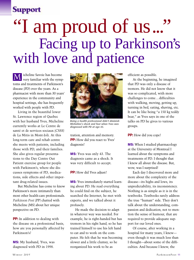## **Support**

# "I am proud of us..." Facing up to Parkinson's with love and patience

icheline Savoie has become very familiar with the symptoms and treatments of Parkinson's disease (PD) over the years. As a pharmacist with more than 30 years' experience in the community and hospital settings, she has frequently worked with people with PD.  $\overline{\rm M}$ 

Living in the beautiful lower St. Lawrence region of Quebec with her husband Yves, Micheline currently works at Le Centre de santé et de services sociaux (CSSS) de La Mitis in Mont-Joli. At this long-term care and rehab centre she meets with patients, including those with PD, and their families. She also gives regular presentations to the Day Centre Out Patient exercise group for people with Parkinson's, where she discusses symptoms of PD, medications, side effects and other important drug-related issues.

But Micheline has come to know Parkinson's more intimately than most other health-care professionals. *Parkinson Post* (PP) chatted with Micheline (MS) about her unique perspective on PD.

**PP:** In addition to dealing with the disease on a professional basis, how are you personally affected by Parkinson's?

**MS:** My husband, Yves, was diagnosed with PD in 1998.



*Being a health professional didn't diminish Micheline's shock and fear when Yves was diagnosed with PD at age 43.*

tration, attention and memory. **PP:** How did you react to Yves' diagnosis?

**MS:** Yves was only 43. The diagnosis came as a shock. It was very difficult to accept.

**PP:** How did Yves adjust?

**MS:** Yves immediately started learning about PD. He read everything he could find on the subject, he searched the Internet, he met with experts, and we talked about it profusely.

He made the decision to adapt in whatever way was needed. For example, he is right-handed but has tremors in his right hand, so he has trained himself to use his left hand to eat and to work on the computer. He felt that he was becoming slower and a little clumsy, so he reorganized his work to be as

efficient as possible.

At the beginning, he imagined that PD was only a disease of tremors. He did not know that it was so complicated, with more challenges to come…difficulties with walking, moving, getting up, turning in bed, eating, shaving, etc. It can be like being "a 150 kg teddy bear," as Yves says in one of the talks on PD he gives to various groups.

**PP:** How did you cope?

**MS:** When I studied pharmacology at the University of Montreal I learned about the symptoms and treatments of PD. I thought that I knew all about the disease. But, wow, was I surprised!

Each day I discovered more and more about the complexity of the disease—its highs and lows, its unpredictability, its inconsistency. Nothing is as simple as it is in the textbooks. Textbooks rarely address the true "human" side. They don't talk about the understanding, compassion and dedication, not to mention the sense of humour, that are required to provide adequate support for our loved ones.

Of course, after working in a hospital for many years, I knew even though it was much less than I thought—about some of the difficulties. And because I knew, the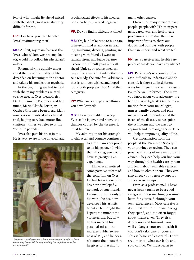fear of what might lie ahead mixed with the shock, so it was also very difficult for me.

**PP:** How have you both handled Yves' treatment regimen?

**MS:** At first, my main fear was that Yves, who seldom went to any doctor, would not follow his physician's orders.

Fortunately, he quickly understood that now his quality of life depended on listening to the doctor and taking his medication regularly.

In the beginning we had to deal with the many problems related to side effects. Yves' neurologist, Dr. Emmanuelle Pourcher, and her nurse, Marie-Claude Fortin, in Quebec City have been great. Right now Yves is involved in a clinical trial, hoping to reduce motor fluctuations—times we refer to as his "on/off"' periods.

Yves also puts his trust in me. He is very aware of the physical and psychological effects of his medications, both positive and negative.

**PP:** Do you find it difficult at times?

**MS:** Yes, but I take time to take care of myself. I find relaxation in reading, gardening, dancing, painting and meeting with friends. I want to remain strong and brave because I know the difficult years are still ahead. Unless, of course, medical research succeeds in finding the miracle remedy, the cure for Parkinson's that is so much wished and hoped for by both people with PD and their caregivers.

**PP:** What are some positive things you have learned?

**MS:** I have been able to accept Yves as he is, over and above the changes caused by the disease. It must be love!

My admiration for his strength of character and courage continues

> to grow. I am very proud to be his partner. I wish that all caregivers could have as gratifying an experience.

I have even noticed some positive effects of the condition on Yves. He had been a loner; he has now developed a network of true friends. He used to think only of his work; he has now developed his artistic talents. He thought that I spent too much time volunteering, but now he has made it his personal mission to increase public awareness of PD, and he doesn't count the hours that he gives to that and to

many other causes.

I have met many extraordinary people: people with PD, their partners, caregivers, and health-care professionals. I realize that it is important for us to share our doubts and our joys with people that can understand what we feel.

**PP:** As a caregiver and health care professional, do you have any advice?

**MS:** Parkinson's is a complex disease, difficult to understand and to control. It shows up in different ways for different people. It is essential to be well informed. The more you know about your adversary, the better it is to fight it! Gather information from your neurologist, nurses, family doctor, and pharmacist in order to understand the facets of the disease, to recognize the symptoms and the ways to approach and to manage them. This will help to improve quality of life.

Get information from the people at the Parkinson Society in your province or region. They can provide all sorts of information and advice. They can help you find your way through the health care system and learn about available services and how to obtain them. They can also direct you to nearby support and exercise groups.

Even as a professional, I have never been taught to be a good caregiver. It's something you must learn for yourself, through your own experiences. Most caregivers don't realize the time and energy they spend, and too often forget about themselves. They risk depression and burnout. You will endanger your own health if you don't take care of yourself. This is basic and essential! There are limits to what our body and soul can do. We must learn to

*"Even as a professional, I have never been taught to be a caregiver," says Micheline, adding "caregiving must be experienced."*

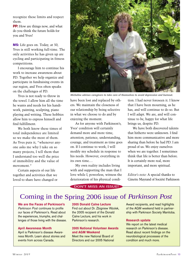recognize these limits and respect them.

**PP:** How are things now, and what do you think the future holds for you and Yves?

**MS:** Life goes on. Today, at 50, Yves is still working full-time. The only activities he has given up are cycling and participating in fitness competitions.

I encourage him to continue his work to increase awareness about PD. Together we help organize and participate in fundraising events in our region, and Yves often speaks on the challenges of PD.

Yves is not ready to throw in the towel. I allow him all the time he wants and needs for his handiwork, painting, sculpting, piano playing and writing. These hobbies allow him to express himself and find fulfillment.

We both know these times of total independence are limited so we make the most of them. As Yves puts it, "whenever anyone asks me why I take on so many projects, I tell them that I understand too well the price of immobility and the value of movement."

Certain aspects of our life together and activities that we loved to share have changed or



*Micheline advises caregivers to take care of themselves to avoid depression and burnout.*

have been lost and replaced by others. We maintain the closeness of our relationship by being selective in what we choose to do and by enjoying the moment.

As for anyone with Parkinson's, Yves' condition will certainly demand more and more time, attention, patience, understanding, courage, and treatment as time goes on. If I continue to work, I will modify my schedule in response to his needs. However, everything in its own time.…

My own reality includes living with and supporting the man that I love while I, powerless, witness the deterioration of his physical condi-

tion. I had never foreseen it. I know that I have been mourning, as he has, and will continue to do so. But I will adapt. We are, and will continue to be, happy for what life brings us, despite PD.

We have both discovered talents that hitherto were unknown. I find him more communicative and more sharing than before he had PD. I am proud of us. We enjoy ourselves when we are together. I sometimes think that life is better than before. It is certainly more real, more important, and more spiritual.

*Editor's note:* A special thanks to Ginette Mayrand of Société Parkinson

#### DON'T MISS AN ISSUE!

### Coming in the Spring 2006 issue of *Parkinson Post*

**We are the Faces of Parkinson's** *Parkinson Post* continues to profile our faces of Parkinson's. Read about the experiences, triumphs, and challenges of those living with the disease.

#### **April Awareness Month**

April is Parkinson's disease Awareness Month. Learn about stories and events from across Canada.

#### **2005 Donald Calne Lecture**

Find out about Dr. Zbigniew Wzolek, the 2005 recipient of the Donald Calne Lecture, and his work in Parkinson's research.

#### **2005 National Volunteer Awards and AGM Weekend**

Meet the new National Board of Directors and our 2005 National Award recipients, and read highlights of the AGM weekend held in partnership with Parkinson Society Manitoba.

#### **Research update**

We report on the latest medical research on Parkinson's disease. Read about recent findings on the neurobiological processes of the condition and much more.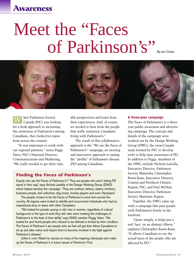## **Awareness**

# Meet the "Faces of Parkinson's"



hen Parkinson Society Canada (PSC) was looking for a fresh approach to increasing the awareness of Parkinson's among Canadians, they looked for input from across the country.  $\overline{\text{W}}$ 

"It was important to work with our regional partners," notes Peggy Yates, PSC's National Director, Communications and Marketing. "We really needed to get their valu-

able perspectives and learn from their experiences. And, of course, we needed to hear from the people that really mattered, Canadians living with Parkinson's."

The result of this collaborative approach is the "We are the Faces of Parkinson's" campaign, an exciting and innovative approach to raising the "profile" of Parkinson's disease (PD) among Canadians.

#### **Finding the Faces of Parkinson's**

Exactly who are the Faces of Parkinson's? "They are people who aren't letting PD stand in their way," says Nichola Lastella of the Design Working Group (DWG) which helped develop the campaign. "They are mothers, fathers, sisters, brothers, business people, doll collectors, dog lovers, hockey players and even Olympians."

The people chosen to be the Faces of Parkinson's come from across the country. All regions were invited to identify and recommend individuals who had an inspirational story to share with other Canadians.

"We looked for people—young or old, man or woman, regardless of cultural background or the type of work they did—who were meeting the challenges of Parkinson's to the best of their ability," says DWG member Peggy Yates. "We looked for and found people who refused to be defined or limited by their condition. The Faces of Parkinson's are people who we feel will get their fellow Canadians to sit up and take notice and inspire them to become involved in the fight against Parkinson's disease."

*Editor's note*: Watch for stories on many of the inspiring individuals who make up the Faces of Parkinson's in future issues of *Parkinson Post*.

#### **A three-year campaign**

The Faces of Parkinson's is a threeyear public awareness and advertising campaign. The concept and details of the campaign were worked out by the Design Working Group (DWG), the cross-Canada team formed by PSC to develop tools to help raise awareness of PD. In addition to Peggy, members of the DWG include Nichola Lastella, Executive Director, Parkinson Society Manitoba; Christopher Rawn-Kane, Executive Director, Central and Northern Ontario Region, PSC; and Paul McNair, Executive Director, Parkinson Society Maritime Region.

Together, the DWG came up with a campaign that puts people with Parkinson's firmly in the forefront.

"Quite simply, it helps put a real 'face' on an abstract illness," explains Christopher Rawn-Kane. "It allows Canadians to see the actual faces of the people who are affected by PD."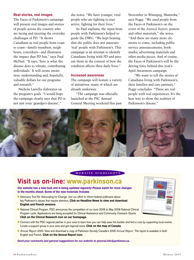#### **Real stories, real images**

The Faces of Parkinson's campaign will present real images and stories of people across the country who are facing and meeting the everyday challenges of PD. "It shows Canadians as real people from coast to coast—family members, neighbours, coworkers—and illustrates the impact that PD has," says Paul McNair. "It says, 'here is what the disease does to vibrant, contributing individuals.' It will create awareness, understanding and, hopefully, valuable dollars for our programs and research."

Nichola Lastella elaborates on the program's goals. "I would hope the campaign clearly says that PD is not just your 'grandpa's disease',"

she notes. "We have younger, vital people who are fighting to stay active, fighting for their lives."

As Paul explains, the input from people with Parkinson's helped to guide the DWG. "We kept hearing that the public does not associate 'real' people with Parkinson's. This campaign is an attempt to identify Canadians living with PD and present them in the context of how the condition affects their daily lives."

#### **Increased awareness**

The campaign will feature a variety of initiatives, many of which are already underway.

"The campaign was officially launched at the PSC Annual General Meeting weekend this past November in Winnipeg, Manitoba," says Peggy. "We used people from the Faces of Parkinson's on the cover of the *Annual Report*, posters and other materials," she notes. "And there are many more elements to come, including public service announcements, bookmarks, advertising materials and other media pieces. And of course, the Faces of Parkinson's will be the driving force behind this year's April Awareness campaign.

"We want to tell the stories of Canadians living with Parkinson's, their families and care partners," Peggy concludes. "These are real people with real experiences. It's the best way to show the realities of Parkinson's disease."



#### WEB SITE HIGHLIGHTS

## **Visit us on-line: www.parkinson.ca**

**Our website has a new look and is being updated regularly! Please watch for more changes in the months ahead. Some of the new materials includes**

- **-** Advocacy Tool Kit: Advocating for Change. Join our effort to inform federal politicians about key Parkinson's issues that require attention. **Click on Headline News to view and download English and French versions.**
- **-** National Clinical Program. PSC announces the competition of our June 2006 to May 2008 National Clinical Program cycle. Applications are being accepted for Clinical Assistance and Community Outreach Grants. **Click on the Clinical Research icon on our homepage.**
- **-** Connect with the PSC regional partner in your area to learn how you can help ease the burden and find a cure by supporting local events. Locate a support group in your area and get regional news. **Click on the map of Canada**.
- **-** *Annual Report 2005*. View and download a copy of Parkinson Society Canada's 2005 *Annual Report*. The report is available in both English and French. **Click on the Annual Report icon.**

*Send your comments and general suggestions for our website to general.info@parkinson.ca.*

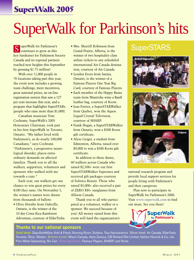# **SuperWalk 2005**

# SuperWalk for Parkinson's hits

uperWalk for Parkinson's S uperWalk for Parkinson's 
SuperSTARS

Crand Prairie, Alberta, is the SuperSTARS key fundraiser for Parkinson Society Canada and its regional partners reached new heights this September by grossing \$1.75 million!

With over 11,000 people in 78 locations taking part this year, the event now includes a growing team challenge, more incentives, great national prizes, an on-line registration system that saw a 127 per cent increase this year, and a program that highlights SuperSTARs (people who raise more than \$1,000).

Canadian musician Tom Cochrane, SuperWalk's 2005 Honourary Chairman, took part in his first SuperWalk in Toronto, Ontario. "My father lived with Parkinson's, as do nearly 100,000 Canadians," says Cochrane. "Parkinson's, a progressive neurological disorder, places extraordinary demands on affected families. Thank you to all the walkers, supporters, volunteers and sponsors who walked with me towards a cure."

Each year, our walkers get one chance to win great prizes for every \$100 they raise. On November 5, the winner's names were drawn from thousands of ballots:

• Olive Hornby from Oakville, Ontario, is the winner of the 10 day Costa Rica Rainforest Adventure, courtesy of ElderTreks.

- Mrs. Sherrill Robinson from Grand Prairie, Alberta, is the winner of two hospitality class airline tickets to any scheduled international Air Canada destination, courtesy of Air Canada.
- Lynden Evers from Sarnia, Ontario, is the winner of a Famous Players One Year Big Card, courtesy of Famous Players.
- Each member of the Happy Bums team from Manitoba wins a Banff leather bag, courtesy of Roots.
- Jean Fortier, a SuperSTARWalker from Quebec, won the Aquos Liquid Crystal Television, courtesy of SHARP.
- Frank Hogan, a SuperSTARWalker from Ontario, won a \$500 Roots gift certificate.
- Alyse Geiger, a student from Edmonton, Alberta, raised over \$9,000 to win a \$500 Roots gift certificate.

In addition to these draws, 60 walkers across Canada who raised \$2,500+ were our first SuperSTARWalker Supremes and received gift packages courtesy of Solstice Beauty. Those who raised \$5,000+ also received a pair of ZERO RH+ sunglasses from Allison Canada.

Thank you to all who participated as a volunteer, walker or a sponsor. We succeed because of you! All money raised from this event will fund the organization's







national research program and provide local support services for people living with Parkinson's and their caregivers.

Plan now to participate in SuperWalk for Parkinson's 2006. Visit **www.superwalk.com** to find out more. See you there!



#### **Thanks to our national sponsors**

**Gold level:** GlaxoSmithKline, Kohl & Frisch, Running Room, Solstice, Teva Neuroscience **Silver level:** Air Canada, ElderTreks, Novartis, Shire, Weston **Bronze Level:** Allison Canada, Astra Zeneca, CB Richard Ellis Limited, Nathan Hennick & Co. Ltd, Pure Metal Galvanizing, Rio Can **Prize sponsors:** Famous Players, SHARP, and Roots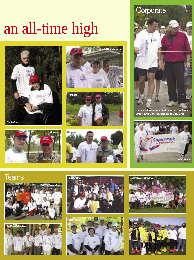# an all-time high













*SuperWalk Honorary Chairman Tom Cochrane (right) with Gary Murtagh from ElderTreks.*



# **Teams**











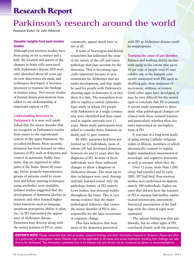# **Research Report**

# Parkinson's research around the world

Research Editor: Dr. John Wherrett

#### **Valuable insights from post-mortem studies**

Although post-mortem studies have been going on for a century and a half, the location and nature of the changes in brain cells associated with Parkinson's disease (PD) were only identified about 40 years ago. As new discoveries are made and techniques developed, it becomes necessary to reassess the findings in human tissue. Two recent studies of human brains post-mortem have added to our understanding of important aspects of PD.

#### **Understanding dementia in**

**Parkinson's:** It is now well established that the motor disorder that we recognize as Parkinson's results from injury to the nigrostriatal system in the upper brainstem, the so-called midbrain. More recently, attention has been focused on other features of PD, such as dementia and control of automatic bodily functions, that are regulated in other parts of the brain. About 40 years ago, before properly representative groups of patients could be examined and before staining techniques using antibodies were available, isolated studies suggested that the development of dementia (decline in memory and other learned higher brain functions such as language, attention, perception, ability to plan, etc.) in PD represented the appearance of Alzheimer disease. Dementia may develop along with the motor features of PD or, more

commonly, appear much later or not at all.

A team of Norwegian and British researchers has addressed the issue of the nature of the cell and tissue pathology that may account for the dementia. This is becoming especially important because of new treatments for Alzheimer that are under development, and that might be used for people with Parkinson's showing signs of dementia if, in fact, there is a link. The researchers were able to exploit a careful epidemiologic study in which 245 people with Parkinson's in a single community were identified and then examined at regular intervals over 11 years. Many study participants were asked to consider brain donation on death, and 51 gave consent.

By 2001, autopsies had been performed on 22 individuals, most of whom (19) had developed dementia between six and 21 years after the diagnosis of PD. In none of these individuals were there sufficient changes to allow a diagnosis of Alzheimer disease. The most up-todate techniques were used. Among multiple features tested, only the pathologic feature of PD, namely Lewy bodies, was detected widely throughout the brain. This is very strong evidence that the major pathological influence that causes the motor disorder of PD is also responsible for the later occurrence of cognitive change.

This data indicates that treatment of the dementia associated

with PD as Alzheimer disease could be inappropriate.

**Tracking the cause of gait disorder:** Balance and walking ability decline with aging to the extent that up to 50 per cent of people over 85 may exhibit one of the features commonly associated with PD, such as shuffling gait, slow initiation of movement, stiffness or tremor. Until other signs have developed, it may be very difficult for the neurologist to conclude that PD is present. A recent study attempted to determine what pathological changes correlated with these isolated features, and particularly whether these features represented an incomplete form of PD.

It was part of a long-term study of aging among Catholic religious orders in Illinois, members of which altruistically consent to regular, highly standardized assessments of neurologic and cognitive functions, as well as autopsy when they die.

Over 11 years, more than 1,000 clergy had enrolled and by early 2005, 307 had died. Post-mortem studies were performed on approximately 290 individuals. Eighty-six cases that did not have the features of PD at autopsy had further sophisticated microscopic assessment. Statistical associations of the findings with the clinical signs were examined.

The salient finding was that gait disorder, but no other signs of PD, correlated closely with the presence

**EDITOR'S NOTE:** Please remember that clinical studies, research findings and other information featured in *Research Report* are often of a preliminary or investigative nature. Results may not be applicable to all cases and actual treatments resulting from findings can take time to be developed. The information contained here is for interest only and should not be construed as advice or recommendations.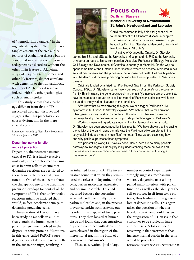of "neurofibrillary tangles" in the nigrostriatal system. Neurofibrillary tangles are one of the two clinical features of Alzheimer disease but are also found in a variety of other neurodegenerative disorders without the other main feature of Alzheimer: amyloid plaques. Gait disorder, and other PD features, did not correlate with dementia or the full pathologic features of Alzheimer disease or, indeed, with any other pathologies, such as small strokes.

This study shows that a pathology different from that of PD is associated with gait disorder and suggests that this pathology also causes dysfunction in the nigrostriatal system.

References: *Annals of Neurology*, November 2005 and January 2006

#### **Dopamine, parkin function and cell protection**

Dopamine, the neurotransmitter central to PD, is a highly reactive molecule, and complex mechanisms exist in brain cells to ensure that dopamine reactions are restricted to those favourable to normal brain function. One of the concerns about the therapeutic use of the dopamine precursor levodopa for control of the symptoms of PD is that unfavourable reactions might be initiated that would, in fact, accelerate damage to dopamine-producing cells.

Investigators at Harvard have been studying rat cells in culture that contain the human gene for parkin, an enzyme involved in the disposal of toxic proteins. Mutations in this gene (called PARK2) cause degeneration of dopamine nerve cells in the substantia nigra, resulting in



#### **Focus on…**

#### **Dr. Brian Staveley**



Could the common fruit fly hold vital genetic clues to the treatment of Parkinson's disease in people? That question is behind a promising research project headed by Dr. Brian Staveley at Memorial University of Newfoundland in St. John's.

A native of Orangeville, Ontario, Dr. Staveley

earned his BSc and MSc at the University of Guelph and his PhD at the University of Alberta en route to his current position, Associate Professor of Biology, Molecular Cell Biology and Developmental Genetics Laboratory at Memorial. On the way he spent some time at the Ontario Cancer Institute, where he became interested in cell survival mechanisms and the processes that oppose cell death. Cell death, particularly the death of dopamine-producing neurons, has been implicated in Parkinson's disease.

Originally funded by a Friedman Pilot Project Grant from the Parkinson Society Canada (PSC), Dr. Staveley's current work centres on *drosophila*, or the common fruit fly. By stimulating the gene  $\alpha$ -synuclein in the fruit fly's nervous system, scientists have been able to produce an excellent 'model' of Parkinson's disease, which can be used to study various features of the condition.

"We know that by manipulating this gene, we can trigger Parkinson's-like symptoms in fruit flies," Dr. Staveley explains. "We believe that by manipulating other genes we may be able to counteract this effect. In other words, we can find ways to stop the progression of, or provide protection against, Parkinson's."

Working closely with graduate students Annika Haywood and Amy Todd, Dr. Staveley has been encouraged by initial results. "We have shown that increasing the activity of the parkin gene can alleviate the Parkinson's-like symptoms in the  $\alpha$ -synuclein-induced model in fruit flies," he notes. "Now we are examining how and why parkin suppresses these symptoms."

"It's painstaking work," Dr. Staveley concludes. "There are so many possible pathways to investigate. But only by really understanding these pathways and processes can we determine what we need to focus on in terms of finding a treatment or cure."

an inherited form of PD. The investigators found that when they stimulated the release of dopamine in the cells, parkin molecules aggregated and became insoluble. This had occurred because the dopamine attached itself chemically to the parkin molecules and, in the process, prevented parkin from carrying out its role in the disposal of toxic proteins. They then looked at human tissue and found that concentrations of parkin combined with dopamine were elevated in the region of the nigrostriatal tract in the brain of a person with Parkinson's.

These observations (and a large

number of control experiments) strongly suggest a mechanism whereby dopamine over a long period might interfere with parkin function as well as the ability of the cell to protect itself from toxic proteins, thus leading to a progressive loss of dopamine cells. This again raises the question of whether levodopa treatment could hasten the progression of PD, an issue that continues to be studied in large clinical trials. A logical line of reasoning is that treatments that increase normal parkin in the cells would be protective.

References: *Nature Medicine*, November 2005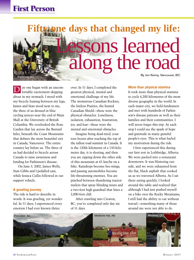# **Fifty-one days that changed my life:** Lessons learned along the road By Jon Kenny, Vancouver, BC Kootenay, BC.

ay one began with an uncomfortable excitement skipping about in my stomach. I stood with my bicycle leaning between my legs; James and Stan stood next to me, the three of us dressed in blue cycling jerseys near the end of Main Mall at the University of British Columbia. We overlooked the Rose Garden that lay across the Burrard Inlet, beneath the Coast Mountains that defines the most beautiful city in Canada, Vancouver. The entire country lay before us. The three of us had decided to bicycle across Canada to raise awareness and funding for Parkinson's disease.  $\overline{\rm D}$ 

On June 3, 2002, James Wells, Stan Gibbs and I pedalled east, while Jessica Cullis followed in our support vehicle.

#### **A grueling journey**

The ride is hard to describe in words. It was grueling, yet wonderful. In 51 days, I experienced every emotion I had ever known thrice

over. In 51 days, I completed the greatest physical, mental and emotional challenge of my life. The monstrous Canadian Rockies, the listless Prairies, the humid Canadian Shield—these were the physical obstacles. Loneliness, isolation, exhaustion, frustration, joy, and fear—these were the mental and emotional obstacles.

Imagine being dead-tired, your toes frozen after reaching the top of the tallest road summit in Canada. It is the 120th kilometre of a 150-kilometre day, it is sleeting, and then you are zipping down the other side of this mountain at 65 km/hr on a bike. Raindrops become bee-stings, and passing automobiles become life-threatening enemies. You are pinched between thundering tractortrailers that spray blinding mists and a two-foot high guardrail that lines a 2,000-foot cliff.

After crawling into Creston, BC, you've completed only day six of 51 days.

**More than physical stamina**

It took more than physical stamina to cycle 6,200 kilometres of the most diverse geography in the world. In each major city, we held fundraisers and met with hundreds of Parkinson's disease patients as well as their families and their communities. I will never forget this trip. At each stop I could see the spark of hope and gratitude in many grateful people's eyes. This is what fueled my motivation during the ride.

I first experienced this during our first rest in Lethbridge, Alberta. We were packed into a restaurant downtown. It was blistering outside, and we were exhausted from the flat, black asphalt that cooked us as we traversed Alberta. As I sat there eating quickly, I looked around the table and realized that although I had just pushed myself on a bike over the Rocky Mountains, I still had the ability to eat without travail—something many of those around me were not able to do.

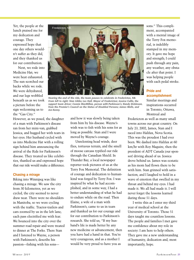Yet, the people at the lunch praised me for my dedication and courage. They expressed hope that one day others wouldn't suffer as they did, and they thanked us for our contribution.

Next, we rode into Medicine Hat; we were heat exhausted. The sun scorched our backs while we rode. We were dehydrated, and our legs wobbled beneath us as we took a picture before the sign welcoming us to the "Gas City."



*Nearing the end of the ride, the team pauses to celebrate in Fredericton, NB. From left to right: Stan Gibbs; Les Hull, Mayor of Fredericton; Jessica Cullis, the support team driver; Connie MacMillan, person with Parkinson's; Randy Dickinson, from the Premier's Council on the Status of Disabled Persons; James Wells, and Jon Kenny.*

However, as we posed, the daughter of a man with Parkinson's disease ran from her mini-van, grabbed Jessica, and hugged her with tears in her eyes. Her husband cycled with us into Medicine Hat with a rolling sign behind him announcing the arrival of the Ride for Parkinson's disease. They treated us like celebrities, thanked us and expressed hope that our ride would make a difference.

#### **Chasing a mirage**

Biking into Winnipeg was like chasing a mirage. We saw the city from 30 kilometres, yet as we cycled, the city seemed to never draw near. There were no shoulders in Manitoba, so we were cycling with the traffic. Tractor-trailers and cars zoomed by us in the left lane; each pass electrified me with fear. We bounced into the city over the summer road repair and were treated to dinner at The Forks. There Stan and I listened to Wayne, a person with Parkinson's, describe his passion—fishing with his sonsand how it was slowly being taken from him by his disease. Wayne's wish was to fish with his sons for as long as possible. Stan and I were moved by Wayne's courage.

Unrelenting head winds, deer flies, tortuous terrain, and the smell of moose carcass typified our ride through the Canadian Shield. In Thunder Bay, a local newspaper reporter took pictures of us at the Terry Fox Memorial. The definition of courage and dedication to humankind was forged by Terry Fox. I was inspired by what he had accomplished, and in some way, I had a better understanding of what he had to endure while on the road. Then Elaine, a wife of a man with Parkinson's, came to us in tears and thanked us for our courage and for our contribution to Parkinson's research. She told us, "If my husband's life is made better by any new medicine or advancement, then you have had a hand in that. You're very courageous, and as a mother I would be very proud to have you as

sons." This compliment, accompanied with a mental image of the Terry Fox memorial, is indelibly stamped in my memory. It gave me hope and strength; I could push through any pain, any weather, any obstacle after that point. I was helping people with each pedal stroke.

**Pride and accomplishment**

Similar meetings and inspirations occurred in Toronto, Ottawa, Montreal and

Fredericton as well as many small towns across our great country. On July 23, 2002, James, Stan and I raced into Halifax, Nova Scotia. This was the proudest I had ever been. We dashed into Halifax at 60 km/hr with Roy Maguire, then the president of ADT Canada (our sponsor) driving ahead of us. Jessica drove behind us. James was ecstatic as his mom had flown there to be with him. Stan grinned with satisfaction, and I laughed to hold in a wave of emotion that swelled in my throat and behind my eyes. I had made it. We all had made it. I will never forget the lessons learned during those 51 days.

I write this as I enter my third year of medical school at the University of Toronto. Those 51 days taught me countless lessons. The people and families I met gave me confidence about my role in society: I am here to help others. They gave me a new understanding of humanity, dedication and, most importantly, hope.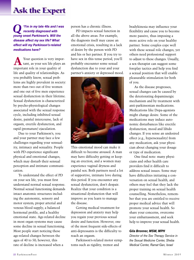# **Ask the Expert**

*"I'm in my late 40s and I was recently diagnosed with young onset Parkinson's. Will the disease affect my sex life? What effect will my Parkinson's-related medications have? Q*

Your question is very impor-Your question is very impor-<br>tant, as your sex life plays an important role in your quality of life and quality of relationships. As you probably know, sexual problems are highly prevalent in society: more than two out of five women and one out of five men experience sexual dysfunction in their lifetime. Sexual dysfunction is characterized by psycho-physiological changes associated with the sexual response cycle, including inhibited sexual desire, painful intercourse, lack of orgasm, erectile dysfunction, and rapid (premature) ejaculation.

Due to your Parkinson's, you and your partner may face a few challenges regarding your sensuality, intimacy and sexuality. People with PD experience significant physical and emotional changes, which may disturb their sensual perception and intimate communication.

To understand the effect of PD on your sex life, you must first understand normal sexual response. Normal sexual functioning demands intact anatomic structures including the autonomic, sensory and motor system; proper arterial and venous blood supply; a balanced hormonal profile, and a healthy emotional state. Age-related decline in most organ systems may cause some decline in sexual functioning. Most people start noticing these age-related changes between the ages of 40 to 50; however, this rate of decline is increased when a

person has a chronic illness.

PD impacts sexual function in all the above areas. For example, the diagnosis itself may cause an emotional crisis, resulting in a lack of desire by the person with PD and his or her partner. If you try to have sex in this tense period, you'll probably encounter some sexual dysfunction due to your and your partner's anxiety or depressed mood.



This emotional mood can make it difficult to become aroused. A man may have difficulty getting or keeping an erection, and a women may experience vaginal dryness and painful sex. Both partners need a lot of supportive, intimate love during this period. If you encounter any sexual dysfunction, don't despair. Realize that your condition is a situational dysfunction that will improve as you learn to manage the disease.

Getting medical treatment for depression and anxiety may help you regain your previous sexual desire and function. However, one of the most frequent side-effects of anti-depressants is the difficulty to reach an orgasm.

Parkinson's-related motor symptoms such as rigidity, tremor and

bradykinesia may influence your flexibility and cause you to become more passive, thus imposing a more active role on your healthy partner. Some couples cope well with these sexual role changes, yet others need professional support to adjust to these changes. Usually, a sex therapist can suggest some foreplay tactics and help you find a sexual position that will enable pleasurable stimulation for both of you.

As the disease progresses, sexual changes can be caused by the deteriorating dopaminergic mechanism and by treatment with anti-parkinsonian medications. Medications like Dopa-agonists might change desire. Some of the medications may induce autonomic disturbances like erectile dysfunction, mood and libido changes. If you sense an undesired effect (e.g., hypersexuality) from any medication, ask your physician about changing your dosage or type of medication.

One final note: many physicians and other health care providers find it difficult to address sexual issues. Some may have difficulties initiating a conversation on sexual health, and others may feel that they lack the proper training on sexual health counselling. Nonetheless, remember that you are entitled to receive proper medical advice that will promote your sexual health. So share your concerns, overcome your embarrassment, and seek help to improve your sexual health.

#### *Gila Bronner, MSW, MPH*

*Director of the Sex Therapy Service in the Sexual Medicine Center, Sheba Medical Center, Ramat-Gan, Israel*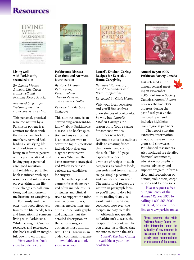## **Resources**



#### **Living well with Parkinson's, second edition**

*By Glenna Wotton Atwood, Lila Green Hunnewell and Roxanne Moore Saucier*

*Reviewed by Jennifer Watson of Premier Homecare Services Inc.*

This personal, practical resource written by a Parkinson patient is a comfort for those with the disease and for family members. Atwood feels leading a satisfying life with Parkinson's means being an informed patient with a positive attitude and having proper personal care, good nutrition, and reliable support. Her book is infused with tips, resources and information on everything from lifestyle changes to hallucinations, and from current medications to caregiving.

For family and loved ones, this book effectively frames the life, needs, fears and frustrations of someone living with Parkinson's. While lacking in Canadian resources and references, this book is still an insightful, down-to-earth read.

Visit your local bookstore to order a copy.



#### **Parkinson's Disease: Questions and Answers, fourth edition**

*By Robert Hauser, Kelly Lyons, Rajesh Pahwa, Theresa Zesiewicz, and Lawrence Golbe*

*Reviewed by Barbara Snelgrove*

This slim resource is an "everything-you-want-toknow" about Parkinson's disease. The book's question and answer format is an excellent way to cover the topic. Questions include How does one diagnose Parkinson's disease? What are the basic treatment strategies? and Which Parkinson patients are candidates for surgery?

The authors provide context for each answer and often include results of studies and clinical trials to support the information. Some topics, such as medications, are quite clinical with graphs and diagrams, but the detailed description on the various surgery options is most informative. The CD-Rom is an added companion feature.

Available at a bookstore near you.



#### **Laurel's Kitchen Caring: Recipes for Everyday Home Caregiving**

*By Laurel Robertson, Carol Lee Flinders and Brian Ruppenthal*

#### *Reviewed by Chris Noone*

Visit your local bookstore and you'll find shelves upon shelves of cookbooks. So why buy *Laurel's Kitchen Caring*? One reason only: You're caring for someone who is ill.

In her new book, Robertson turns her culinary skills to creating dishes that nourish and comfort the sick. This 150-page paperback offers up a variety of recipes in such categories as comfort foods, casseroles and treats, healing soups, simple pleasures, and care for the caregiver. The majority of recipes are written in paragraph form, so you'll need to do a bit more reading than you would with a traditional cookbook; however, the recipes are easy to make.

Although not specific to Parkinson's disease, the recipes in this book will help you create tasty dishes that are sure to soothe the sick.

*Laurel's Kitchen Caring* is available at your local bookstore.



#### **Annual Report 2005 Parkinson Society Canada**



annual general meeting in November 2005, Parkinson Society Canada's *Annual Report* reviews the Society's progress during the past fiscal year at the national level and includes highlights from regional partners.

The report contains extensive information about our research program and showcases PSC-funded researchers. Also included are detailed financial statements, education accomplishments, advocacy and support program information, and recognition of donors, volunteers, corporations and foundations.

Please request a free bilingual copy of the *Annual Report 2005* by calling 1-800-565-3000 ext. 3394, or view it online at www.parkinson.ca.

Please remember that while Parkinson Society Canada provides information about the availability of new resources in this section, this does not necessarily imply recommendation or endorsement of the contents.